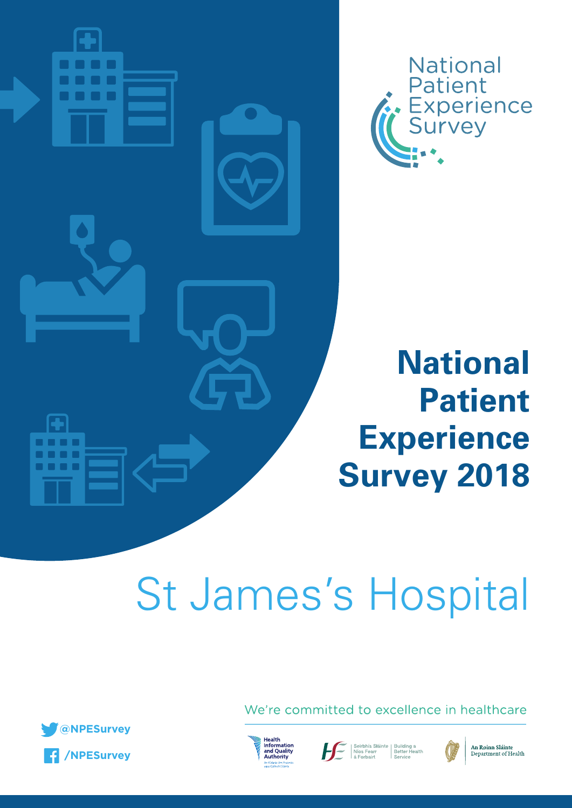

# **National** Patient<br>Experience<br>Survey

**National** 

**Patient** 

# St James's Hospital



We're committed to excellence in healthcare







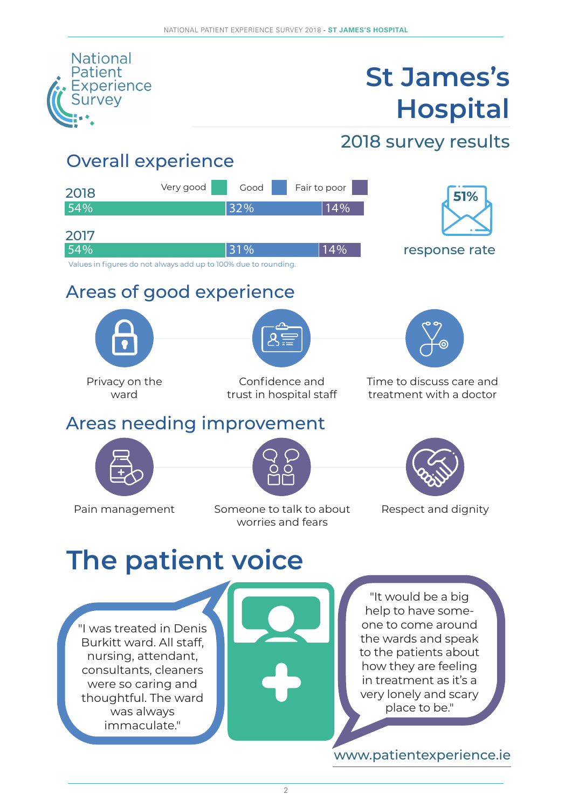

# **St James's Hospital**

2018 survey results

### Overall experience

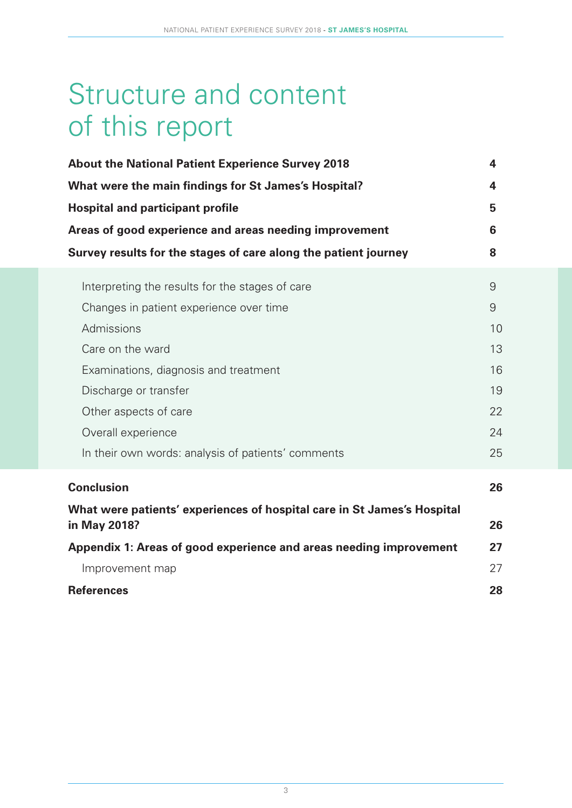# Structure and content of this report

| <b>About the National Patient Experience Survey 2018</b>                                          | 4  |  |  |  |  |
|---------------------------------------------------------------------------------------------------|----|--|--|--|--|
| What were the main findings for St James's Hospital?                                              | 4  |  |  |  |  |
| <b>Hospital and participant profile</b><br>Areas of good experience and areas needing improvement |    |  |  |  |  |
|                                                                                                   |    |  |  |  |  |
| Interpreting the results for the stages of care                                                   | 9  |  |  |  |  |
| Changes in patient experience over time                                                           | 9  |  |  |  |  |
| Admissions                                                                                        | 10 |  |  |  |  |
| Care on the ward                                                                                  | 13 |  |  |  |  |
| Examinations, diagnosis and treatment                                                             | 16 |  |  |  |  |
| Discharge or transfer                                                                             | 19 |  |  |  |  |
| Other aspects of care                                                                             | 22 |  |  |  |  |
| Overall experience                                                                                | 24 |  |  |  |  |
| In their own words: analysis of patients' comments                                                | 25 |  |  |  |  |
| <b>Conclusion</b>                                                                                 | 26 |  |  |  |  |
| What were patients' experiences of hospital care in St James's Hospital                           |    |  |  |  |  |
| in May 2018?                                                                                      | 26 |  |  |  |  |
| Appendix 1: Areas of good experience and areas needing improvement                                | 27 |  |  |  |  |
| Improvement map                                                                                   | 27 |  |  |  |  |
| <b>References</b>                                                                                 | 28 |  |  |  |  |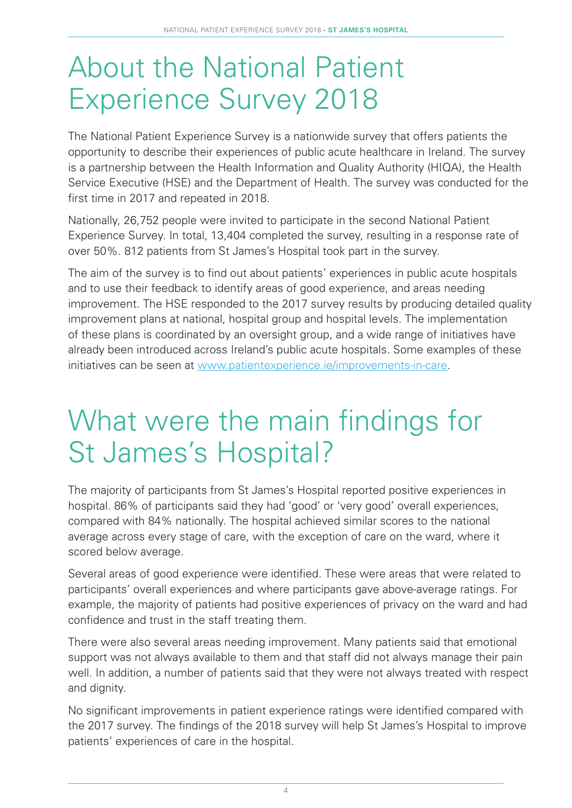# About the National Patient Experience Survey 2018

The National Patient Experience Survey is a nationwide survey that offers patients the opportunity to describe their experiences of public acute healthcare in Ireland. The survey is a partnership between the Health Information and Quality Authority (HIQA), the Health Service Executive (HSE) and the Department of Health. The survey was conducted for the first time in 2017 and repeated in 2018.

Nationally, 26,752 people were invited to participate in the second National Patient Experience Survey. In total, 13,404 completed the survey, resulting in a response rate of over 50%. 812 patients from St James's Hospital took part in the survey.

The aim of the survey is to find out about patients' experiences in public acute hospitals and to use their feedback to identify areas of good experience, and areas needing improvement. The HSE responded to the 2017 survey results by producing detailed quality improvement plans at national, hospital group and hospital levels. The implementation of these plans is coordinated by an oversight group, and a wide range of initiatives have already been introduced across Ireland's public acute hospitals. Some examples of these initiatives can be seen at www.patientexperience.ie/improvements-in-care.

# What were the main findings for St James's Hospital?

The majority of participants from St James's Hospital reported positive experiences in hospital. 86% of participants said they had 'good' or 'very good' overall experiences, compared with 84% nationally. The hospital achieved similar scores to the national average across every stage of care, with the exception of care on the ward, where it scored below average.

Several areas of good experience were identified. These were areas that were related to participants' overall experiences and where participants gave above-average ratings. For example, the majority of patients had positive experiences of privacy on the ward and had confidence and trust in the staff treating them.

There were also several areas needing improvement. Many patients said that emotional support was not always available to them and that staff did not always manage their pain well. In addition, a number of patients said that they were not always treated with respect and dignity.

No significant improvements in patient experience ratings were identified compared with the 2017 survey. The findings of the 2018 survey will help St James's Hospital to improve patients' experiences of care in the hospital.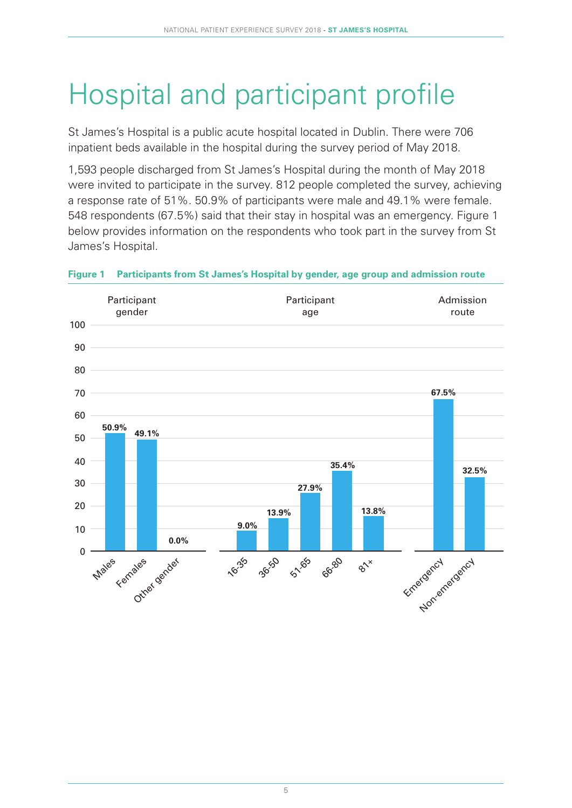# Hospital and participant profile

St James's Hospital is a public acute hospital located in Dublin. There were 706 inpatient beds available in the hospital during the survey period of May 2018.

1,593 people discharged from St James's Hospital during the month of May 2018 were invited to participate in the survey. 812 people completed the survey, achieving a response rate of 51%. 50.9% of participants were male and 49.1% were female. 548 respondents (67.5%) said that their stay in hospital was an emergency. Figure 1 below provides information on the respondents who took part in the survey from St James's Hospital.



#### **Figure 1 Participants from St James's Hospital by gender, age group and admission route**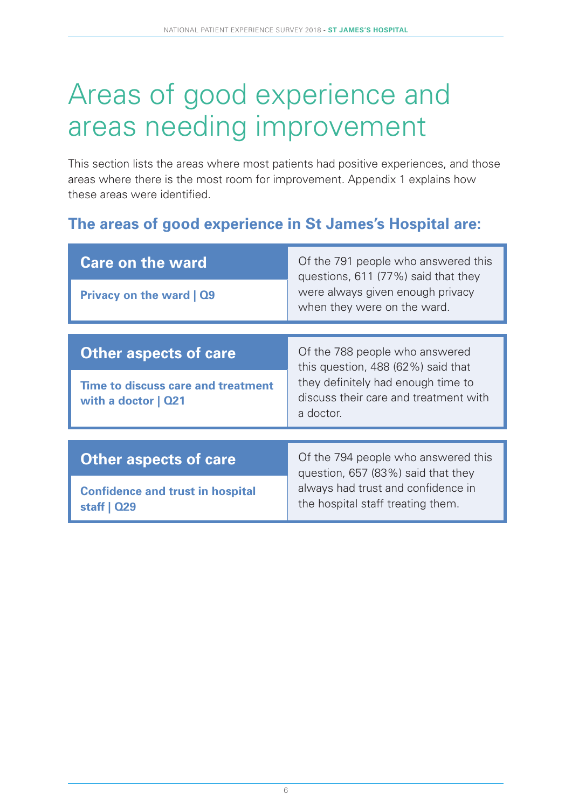# Areas of good experience and areas needing improvement

This section lists the areas where most patients had positive experiences, and those areas where there is the most room for improvement. Appendix 1 explains how these areas were identified.

### **The areas of good experience in St James's Hospital are:**

| <b>Care on the ward</b>                                      | Of the 791 people who answered this<br>questions, 611 (77%) said that they               |  |  |  |  |  |  |  |
|--------------------------------------------------------------|------------------------------------------------------------------------------------------|--|--|--|--|--|--|--|
| Privacy on the ward   Q9                                     | were always given enough privacy<br>when they were on the ward.                          |  |  |  |  |  |  |  |
|                                                              |                                                                                          |  |  |  |  |  |  |  |
| <b>Other aspects of care</b>                                 | Of the 788 people who answered<br>this question, $488(62%)$ said that                    |  |  |  |  |  |  |  |
| Time to discuss care and treatment<br>with a doctor   Q21    | they definitely had enough time to<br>discuss their care and treatment with<br>a doctor. |  |  |  |  |  |  |  |
|                                                              |                                                                                          |  |  |  |  |  |  |  |
| <b>Other aspects of care</b>                                 | Of the 794 people who answered this<br>question, 657 (83%) said that they                |  |  |  |  |  |  |  |
| <b>Confidence and trust in hospital</b><br>staff $\vert$ Q29 | always had trust and confidence in<br>the hospital staff treating them.                  |  |  |  |  |  |  |  |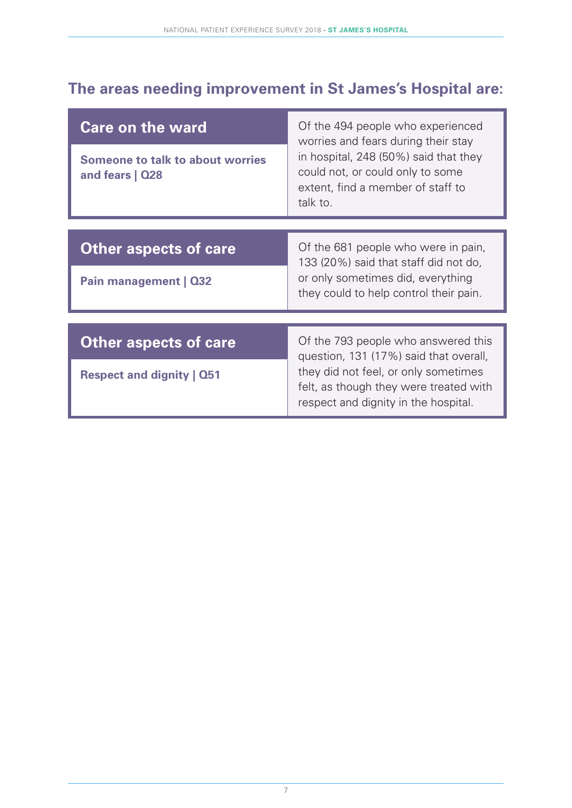### **The areas needing improvement in St James's Hospital are:**

| <b>Care on the ward</b><br><b>Someone to talk to about worries</b><br>and fears   Q28 | Of the 494 people who experienced<br>worries and fears during their stay<br>in hospital, 248 (50%) said that they<br>could not, or could only to some<br>extent, find a member of staff to<br>talk to. |  |  |  |  |  |  |
|---------------------------------------------------------------------------------------|--------------------------------------------------------------------------------------------------------------------------------------------------------------------------------------------------------|--|--|--|--|--|--|
|                                                                                       |                                                                                                                                                                                                        |  |  |  |  |  |  |
| <b>Other aspects of care</b>                                                          | Of the 681 people who were in pain,<br>133 (20%) said that staff did not do,                                                                                                                           |  |  |  |  |  |  |
| Pain management   Q32                                                                 | or only sometimes did, everything<br>they could to help control their pain.                                                                                                                            |  |  |  |  |  |  |
|                                                                                       |                                                                                                                                                                                                        |  |  |  |  |  |  |
| <b>Other aspects of care</b>                                                          | Of the 793 people who answered this<br>question, 131 (17%) said that overall,                                                                                                                          |  |  |  |  |  |  |
| <b>Respect and dignity   Q51</b>                                                      | they did not feel, or only sometimes<br>felt, as though they were treated with<br>respect and dignity in the hospital.                                                                                 |  |  |  |  |  |  |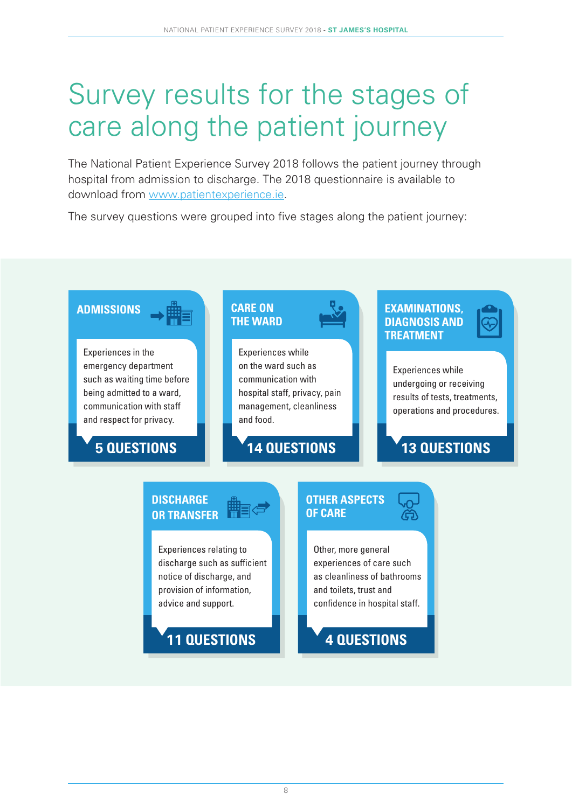# Survey results for the stages of care along the patient journey

The National Patient Experience Survey 2018 follows the patient journey through hospital from admission to discharge. The 2018 questionnaire is available to download from www.patientexperience.ie.

The survey questions were grouped into five stages along the patient journey:

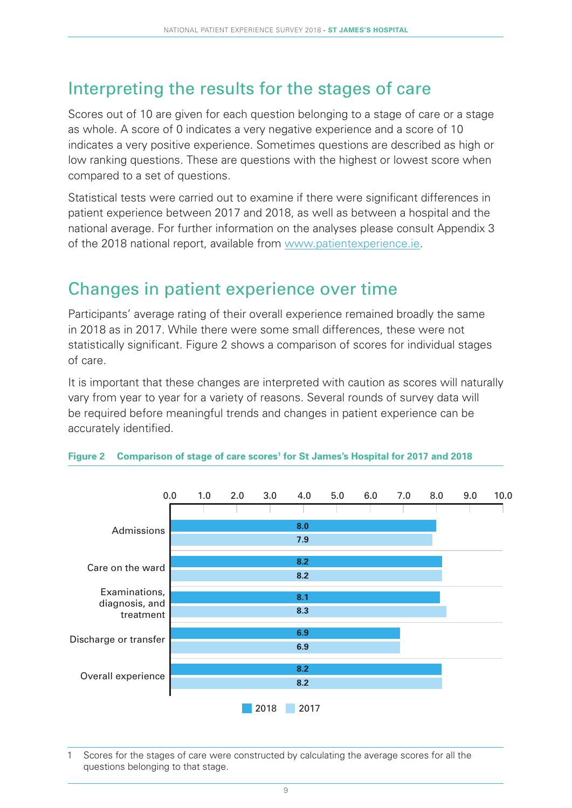### Interpreting the results for the stages of care

Scores out of 10 are given for each question belonging to a stage of care or a stage as whole. A score of 0 indicates a very negative experience and a score of 10 indicates a very positive experience. Sometimes questions are described as high or low ranking questions. These are questions with the highest or lowest score when compared to a set of questions.

Statistical tests were carried out to examine if there were significant differences in patient experience between 2017 and 2018, as well as between a hospital and the national average. For further information on the analyses please consult Appendix 3 of the 2018 national report, available from www.patientexperience.ie.

### Changes in patient experience over time

Participants' average rating of their overall experience remained broadly the same in 2018 as in 2017. While there were some small differences, these were not statistically significant. Figure 2 shows a comparison of scores for individual stages of care.

It is important that these changes are interpreted with caution as scores will naturally vary from year to year for a variety of reasons. Several rounds of survey data will be required before meaningful trends and changes in patient experience can be accurately identified.



#### **Figure 2 Comparison of stage of care scores<sup>1</sup> for St James's Hospital for 2017 and 2018**

1 Scores for the stages of care were constructed by calculating the average scores for all the questions belonging to that stage.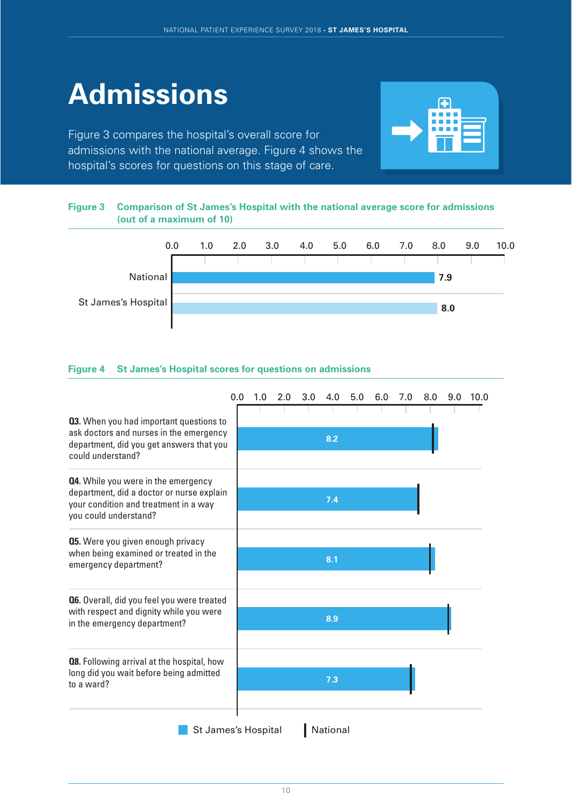# **Admissions**

Figure 3 compares the hospital's overall score for admissions with the national average. Figure 4 shows the hospital's scores for questions on this stage of care.



#### **Figure 3 Comparison of St James's Hospital with the national average score for admissions (out of a maximum of 10)**



#### **Figure 4 St James's Hospital scores for questions on admissions**

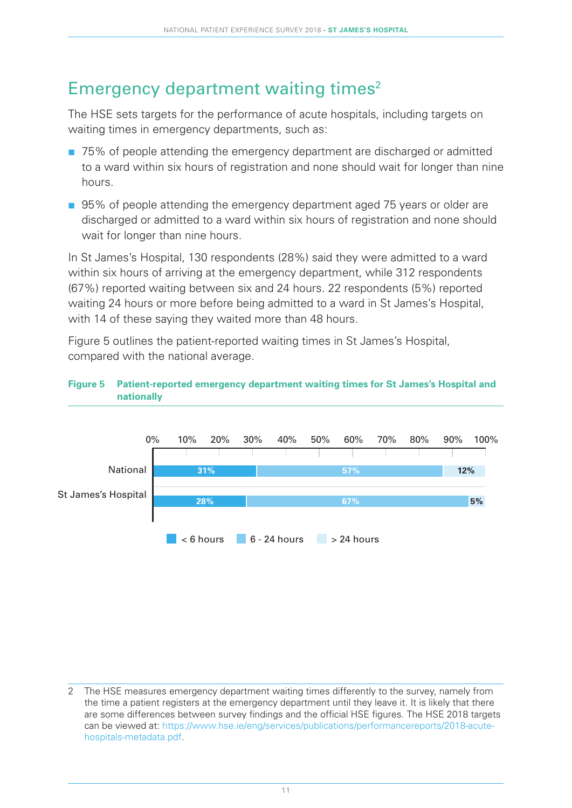### Emergency department waiting times<sup>2</sup>

The HSE sets targets for the performance of acute hospitals, including targets on waiting times in emergency departments, such as:

- 75% of people attending the emergency department are discharged or admitted to a ward within six hours of registration and none should wait for longer than nine hours.
- 95% of people attending the emergency department aged 75 years or older are discharged or admitted to a ward within six hours of registration and none should wait for longer than nine hours.

In St James's Hospital, 130 respondents (28%) said they were admitted to a ward within six hours of arriving at the emergency department, while 312 respondents (67%) reported waiting between six and 24 hours. 22 respondents (5%) reported waiting 24 hours or more before being admitted to a ward in St James's Hospital, with 14 of these saying they waited more than 48 hours.

Figure 5 outlines the patient-reported waiting times in St James's Hospital, compared with the national average.





<sup>2</sup> The HSE measures emergency department waiting times differently to the survey, namely from the time a patient registers at the emergency department until they leave it. It is likely that there are some differences between survey findings and the official HSE figures. The HSE 2018 targets can be viewed at: [https://www.hse.ie/eng/services/publications/performancereports/2018-acute](https://www.hse.ie/eng/services/publications/performancereports/2018-acute-hospitals-metadata.pdf)[hospitals-metadata.pdf](https://www.hse.ie/eng/services/publications/performancereports/2018-acute-hospitals-metadata.pdf).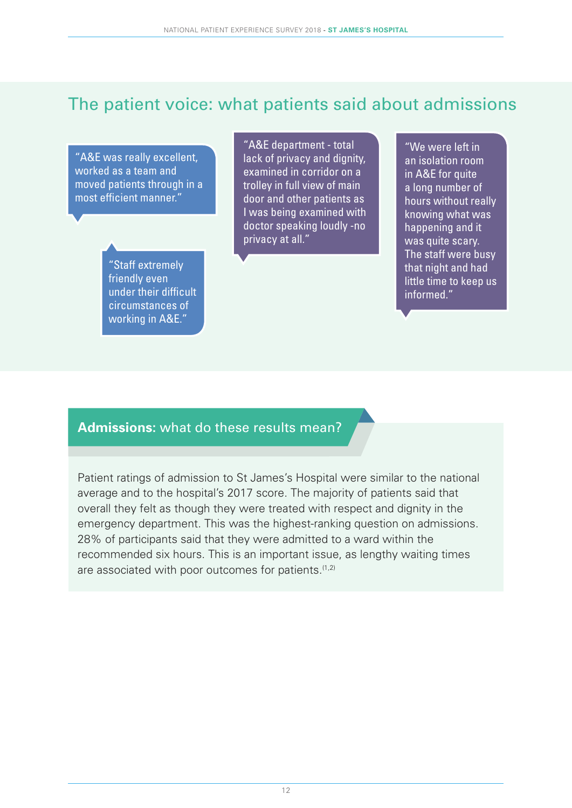### The patient voice: what patients said about admissions

"A&E was really excellent, worked as a team and moved patients through in a most efficient manner."

> "Staff extremely friendly even under their difficult circumstances of working in A&E."

"A&E department - total lack of privacy and dignity, examined in corridor on a trolley in full view of main door and other patients as I was being examined with doctor speaking loudly -no privacy at all."

"We were left in an isolation room in A&E for quite a long number of hours without really knowing what was happening and it was quite scary. The staff were busy that night and had little time to keep us informed."

#### **Admissions:** what do these results mean?

Patient ratings of admission to St James's Hospital were similar to the national average and to the hospital's 2017 score. The majority of patients said that overall they felt as though they were treated with respect and dignity in the emergency department. This was the highest-ranking question on admissions. 28% of participants said that they were admitted to a ward within the recommended six hours. This is an important issue, as lengthy waiting times are associated with poor outcomes for patients. $(1,2)$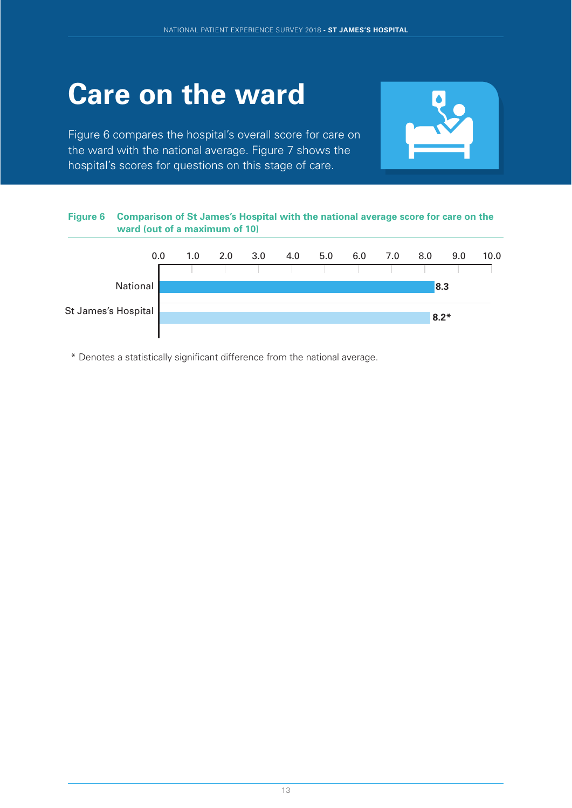# **Care on the ward**

Figure 6 compares the hospital's overall score for care on the ward with the national average. Figure 7 shows the hospital's scores for questions on this stage of care.



#### **Figure 6 Comparison of St James's Hospital with the national average score for care on the ward (out of a maximum of 10)**



\* Denotes a statistically significant difference from the national average.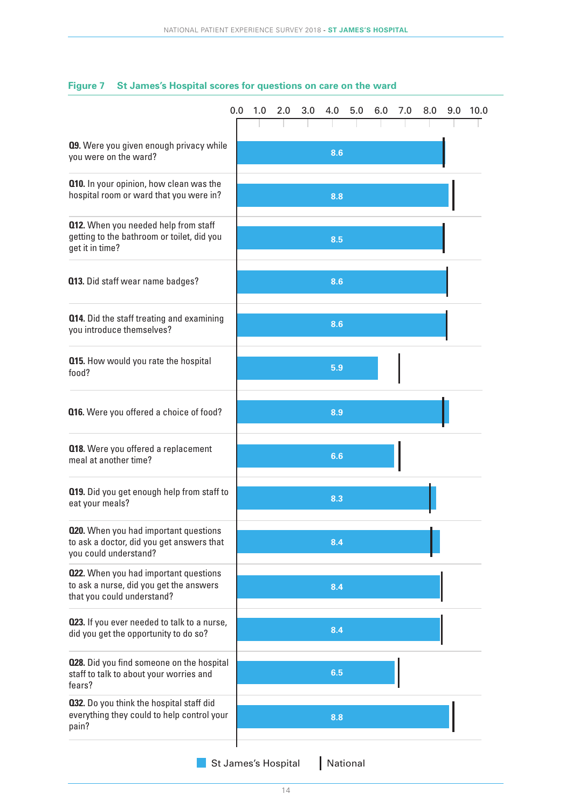|                                                                                                                       | 0.0 | 1.0 | 2.0 | 3.0 | 4.0 | 5.0 | 6.0 | 7.0 | 8.0 | 9.0 | 10.0 |
|-----------------------------------------------------------------------------------------------------------------------|-----|-----|-----|-----|-----|-----|-----|-----|-----|-----|------|
|                                                                                                                       |     |     |     |     |     |     |     |     |     |     |      |
| <b>09.</b> Were you given enough privacy while<br>you were on the ward?                                               |     |     |     |     | 8.6 |     |     |     |     |     |      |
| <b>Q10.</b> In your opinion, how clean was the<br>hospital room or ward that you were in?                             |     |     |     |     | 8.8 |     |     |     |     |     |      |
| <b>Q12.</b> When you needed help from staff<br>getting to the bathroom or toilet, did you<br>get it in time?          |     |     |     |     | 8.5 |     |     |     |     |     |      |
| <b>013.</b> Did staff wear name badges?                                                                               |     |     |     |     | 8.6 |     |     |     |     |     |      |
| <b>Q14.</b> Did the staff treating and examining<br>you introduce themselves?                                         |     |     |     |     | 8.6 |     |     |     |     |     |      |
| <b>015.</b> How would you rate the hospital<br>food?                                                                  |     |     |     |     | 5.9 |     |     |     |     |     |      |
| <b>Q16.</b> Were you offered a choice of food?                                                                        |     |     |     |     | 8.9 |     |     |     |     |     |      |
| <b>Q18.</b> Were you offered a replacement<br>meal at another time?                                                   |     |     |     |     | 6.6 |     |     |     |     |     |      |
| <b>Q19.</b> Did you get enough help from staff to<br>eat your meals?                                                  |     |     |     |     | 8.3 |     |     |     |     |     |      |
| <b>020.</b> When you had important questions<br>to ask a doctor, did you get answers that<br>you could understand?    |     |     |     |     | 8.4 |     |     |     |     |     |      |
| <b>022.</b> When you had important questions<br>to ask a nurse, did you get the answers<br>that you could understand? |     |     |     |     | 8.4 |     |     |     |     |     |      |
| 023. If you ever needed to talk to a nurse,<br>did you get the opportunity to do so?                                  |     |     |     |     | 8.4 |     |     |     |     |     |      |
| <b>028.</b> Did you find someone on the hospital<br>staff to talk to about your worries and<br>fears?                 |     |     |     |     | 6.5 |     |     |     |     |     |      |
| 032. Do you think the hospital staff did<br>everything they could to help control your<br>pain?                       |     |     |     |     | 8.8 |     |     |     |     |     |      |
|                                                                                                                       |     |     |     |     |     |     |     |     |     |     |      |

#### **Figure 7 St James's Hospital scores for questions on care on the ward**

St James's Hospital National

14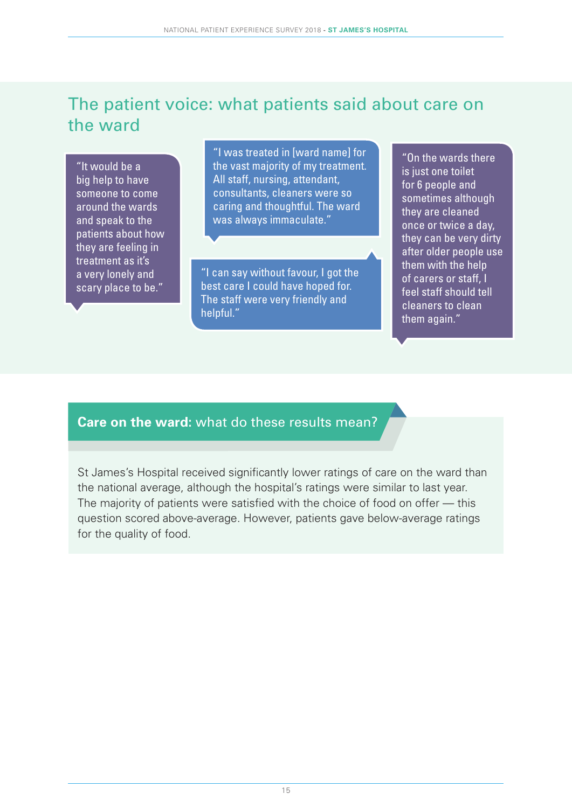### The patient voice: what patients said about care on the ward

"It would be a big help to have someone to come around the wards and speak to the patients about how they are feeling in treatment as it's a very lonely and scary place to be."

"I was treated in [ward name] for the vast majority of my treatment. All staff, nursing, attendant, consultants, cleaners were so caring and thoughtful. The ward was always immaculate."

"I can say without favour, I got the best care I could have hoped for. The staff were very friendly and helpful."

"On the wards there is just one toilet for 6 people and sometimes although they are cleaned once or twice a day, they can be very dirty after older people use them with the help of carers or staff, I feel staff should tell cleaners to clean them again."

#### **Care on the ward:** what do these results mean?

St James's Hospital received significantly lower ratings of care on the ward than the national average, although the hospital's ratings were similar to last year. The majority of patients were satisfied with the choice of food on offer — this question scored above-average. However, patients gave below-average ratings for the quality of food.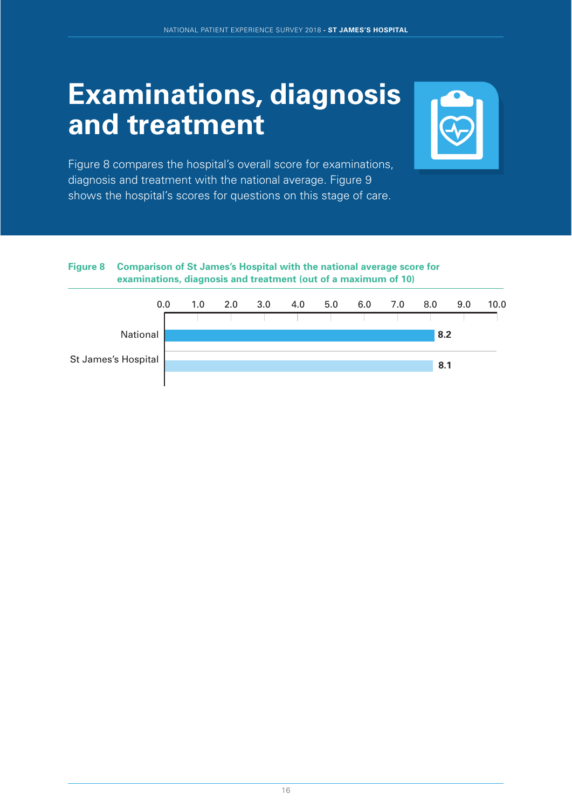### **Examinations, diagnosis and treatment**



Figure 8 compares the hospital's overall score for examinations, diagnosis and treatment with the national average. Figure 9 shows the hospital's scores for questions on this stage of care.

#### **Figure 8 Comparison of St James's Hospital with the national average score for examinations, diagnosis and treatment (out of a maximum of 10)**

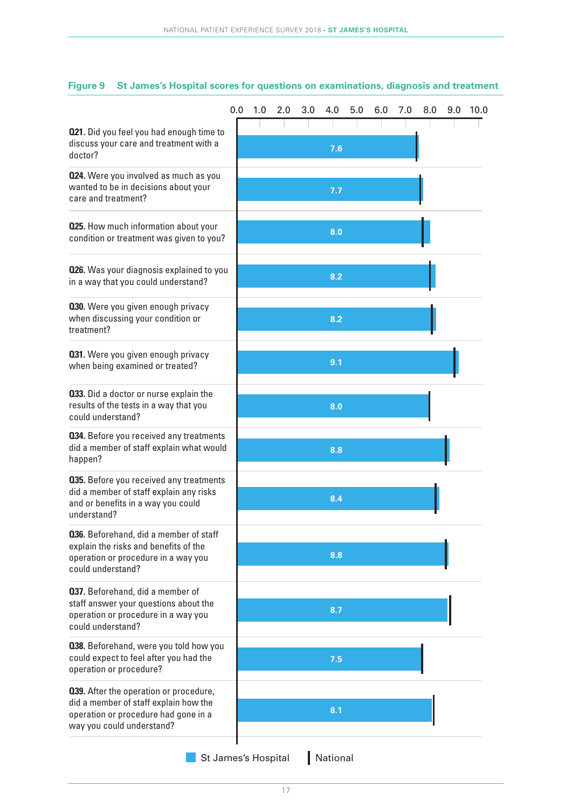|                                                                                                                                                             | 0.0 | 1.0 | 2.0 | 3.0 | 4.0 | 5.0 | 6.0 | 7.0 | 8.0 | 9.0 | 10.0 |
|-------------------------------------------------------------------------------------------------------------------------------------------------------------|-----|-----|-----|-----|-----|-----|-----|-----|-----|-----|------|
| <b>021.</b> Did you feel you had enough time to<br>discuss your care and treatment with a<br>doctor?                                                        |     |     |     |     | 7.6 |     |     |     |     |     |      |
| 024. Were you involved as much as you<br>wanted to be in decisions about your<br>care and treatment?                                                        |     |     |     |     | 7.7 |     |     |     |     |     |      |
| <b>025.</b> How much information about your<br>condition or treatment was given to you?                                                                     |     |     |     |     | 8.0 |     |     |     |     |     |      |
| <b>026.</b> Was your diagnosis explained to you<br>in a way that you could understand?                                                                      |     |     |     |     | 8.2 |     |     |     |     |     |      |
| 030. Were you given enough privacy<br>when discussing your condition or<br>treatment?                                                                       |     |     |     |     | 8.2 |     |     |     |     |     |      |
| 031. Were you given enough privacy<br>when being examined or treated?                                                                                       |     |     |     |     | 9.1 |     |     |     |     |     |      |
| <b>033.</b> Did a doctor or nurse explain the<br>results of the tests in a way that you<br>could understand?                                                |     |     |     |     | 8.0 |     |     |     |     |     |      |
| <b>034.</b> Before you received any treatments<br>did a member of staff explain what would<br>happen?                                                       |     |     |     |     | 8.8 |     |     |     |     |     |      |
| <b>035.</b> Before you received any treatments<br>did a member of staff explain any risks<br>and or benefits in a way you could<br>understand?              |     |     |     |     | 8.4 |     |     |     |     |     |      |
| <b>036.</b> Beforehand, did a member of staff<br>explain the risks and benefits of the<br>operation or procedure in a way you<br>could understand?          |     |     |     |     | 8.8 |     |     |     |     |     |      |
| 037. Beforehand, did a member of<br>staff answer your questions about the<br>operation or procedure in a way you<br>could understand?                       |     |     |     |     | 8.7 |     |     |     |     |     |      |
| 038. Beforehand, were you told how you<br>could expect to feel after you had the<br>operation or procedure?                                                 |     |     |     |     | 7.5 |     |     |     |     |     |      |
| <b>039.</b> After the operation or procedure,<br>did a member of staff explain how the<br>operation or procedure had gone in a<br>way you could understand? |     |     |     |     | 8.1 |     |     |     |     |     |      |

#### **Figure 9 St James's Hospital scores for questions on examinations, diagnosis and treatment**

**St James's Hospital** National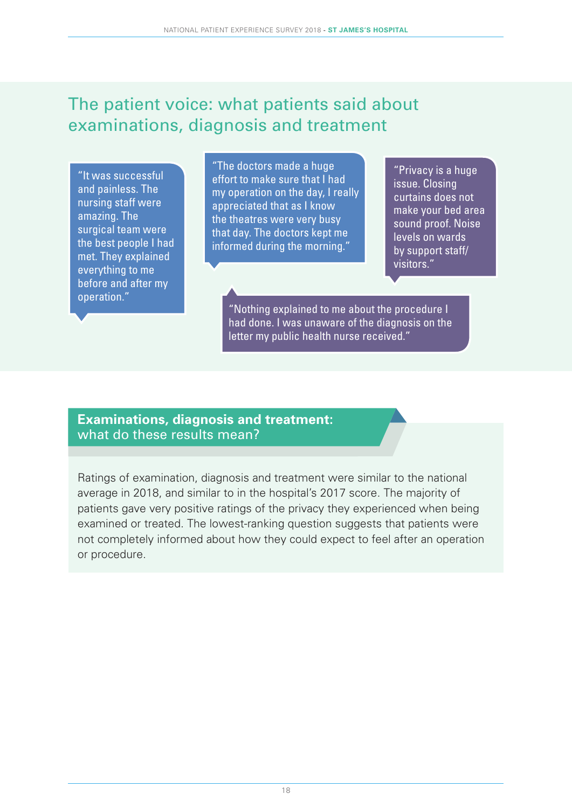### The patient voice: what patients said about examinations, diagnosis and treatment

"It was successful and painless. The nursing staff were amazing. The surgical team were the best people I had met. They explained everything to me before and after my operation."

"The doctors made a huge effort to make sure that I had my operation on the day, I really appreciated that as I know the theatres were very busy that day. The doctors kept me informed during the morning."

"Privacy is a huge issue. Closing curtains does not make your bed area sound proof. Noise levels on wards by support staff/ visitors."

"Nothing explained to me about the procedure I had done. I was unaware of the diagnosis on the letter my public health nurse received."

#### **Examinations, diagnosis and treatment:** what do these results mean?

Ratings of examination, diagnosis and treatment were similar to the national average in 2018, and similar to in the hospital's 2017 score. The majority of patients gave very positive ratings of the privacy they experienced when being examined or treated. The lowest-ranking question suggests that patients were not completely informed about how they could expect to feel after an operation or procedure.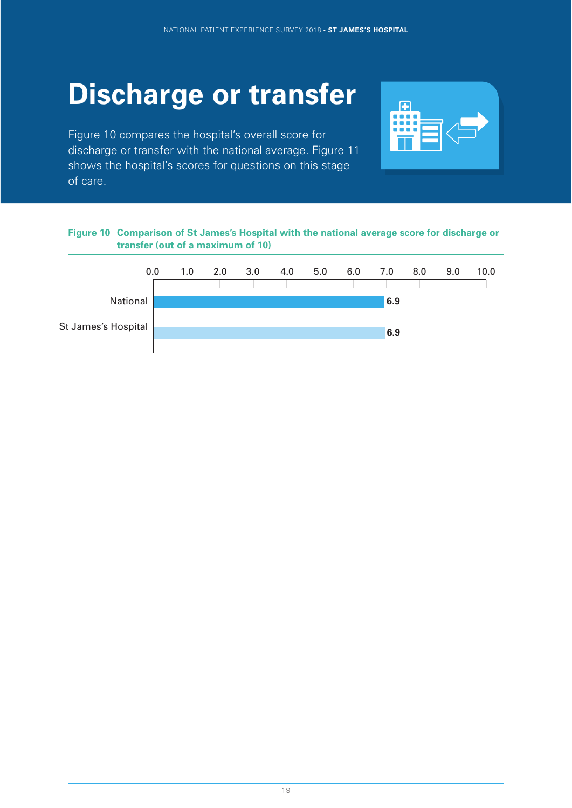# **Discharge or transfer**

Figure 10 compares the hospital's overall score for discharge or transfer with the national average. Figure 11 shows the hospital's scores for questions on this stage of care.



#### **Figure 10 Comparison of St James's Hospital with the national average score for discharge or transfer (out of a maximum of 10)**

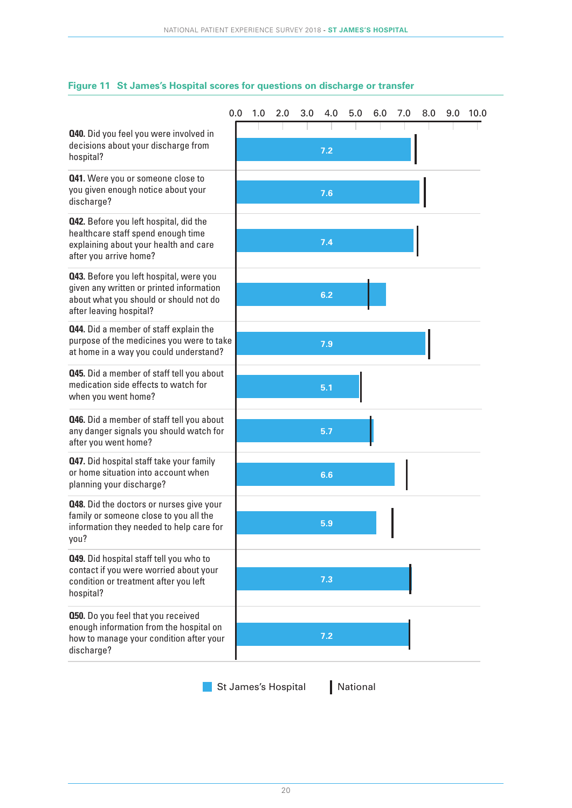|                                                                                                                                                                 | 0.0 | 1.0 | 2.0 | 3.0 | 4.0 | 5.0 | 6.0 | 7.0 | 8.0 | 9.0 | 10.0 |
|-----------------------------------------------------------------------------------------------------------------------------------------------------------------|-----|-----|-----|-----|-----|-----|-----|-----|-----|-----|------|
| <b>Q40.</b> Did you feel you were involved in<br>decisions about your discharge from<br>hospital?                                                               |     |     |     |     | 7.2 |     |     |     |     |     |      |
| 041. Were you or someone close to<br>you given enough notice about your<br>discharge?                                                                           |     |     |     |     | 7.6 |     |     |     |     |     |      |
| <b>Q42.</b> Before you left hospital, did the<br>healthcare staff spend enough time<br>explaining about your health and care<br>after you arrive home?          |     |     |     |     | 7.4 |     |     |     |     |     |      |
| <b>Q43.</b> Before you left hospital, were you<br>given any written or printed information<br>about what you should or should not do<br>after leaving hospital? |     |     |     |     | 6.2 |     |     |     |     |     |      |
| <b>Q44.</b> Did a member of staff explain the<br>purpose of the medicines you were to take<br>at home in a way you could understand?                            |     |     |     |     | 7.9 |     |     |     |     |     |      |
| <b>045.</b> Did a member of staff tell you about<br>medication side effects to watch for<br>when you went home?                                                 |     |     |     |     | 5.1 |     |     |     |     |     |      |
| <b>Q46.</b> Did a member of staff tell you about<br>any danger signals you should watch for<br>after you went home?                                             |     |     |     |     | 5.7 |     |     |     |     |     |      |
| <b>Q47.</b> Did hospital staff take your family<br>or home situation into account when<br>planning your discharge?                                              |     |     |     |     | 6.6 |     |     |     |     |     |      |
| <b>Q48.</b> Did the doctors or nurses give your<br>family or someone close to you all the<br>information they needed to help care for<br>you?                   |     |     |     |     | 5.9 |     |     |     |     |     |      |
| 049. Did hospital staff tell you who to<br>contact if you were worried about your<br>condition or treatment after you left<br>hospital?                         |     |     |     |     | 7.3 |     |     |     |     |     |      |
| <b>050.</b> Do you feel that you received<br>enough information from the hospital on<br>how to manage your condition after your<br>discharge?                   |     |     |     |     | 7.2 |     |     |     |     |     |      |

#### **Figure 11 St James's Hospital scores for questions on discharge or transfer**

St James's Hospital | National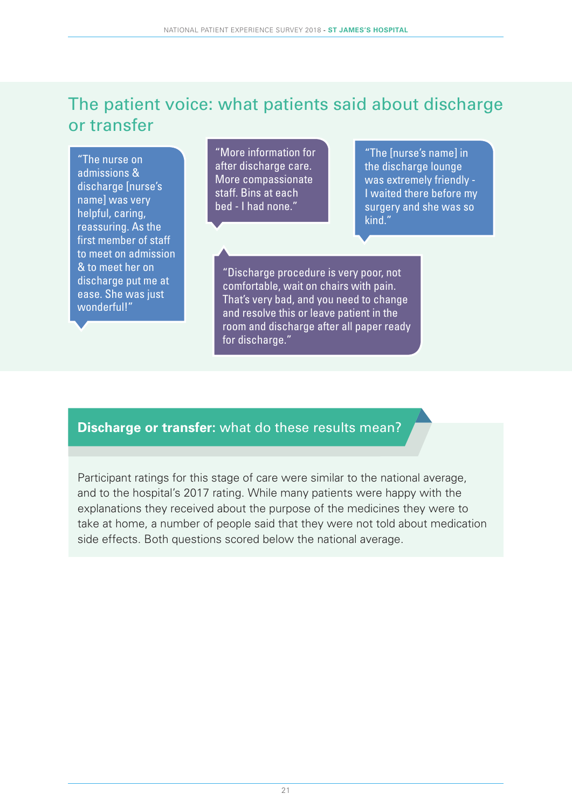### The patient voice: what patients said about discharge or transfer

"The nurse on admissions & discharge [nurse's name] was very helpful, caring, reassuring. As the first member of staff to meet on admission & to meet her on discharge put me at ease. She was just wonderful!"

"More information for after discharge care. More compassionate staff. Bins at each bed - I had none."

"The [nurse's name] in the discharge lounge was extremely friendly - I waited there before my surgery and she was so kind."

"Discharge procedure is very poor, not comfortable, wait on chairs with pain. That's very bad, and you need to change and resolve this or leave patient in the room and discharge after all paper ready for discharge."

### **Discharge or transfer:** what do these results mean?

Participant ratings for this stage of care were similar to the national average, and to the hospital's 2017 rating. While many patients were happy with the explanations they received about the purpose of the medicines they were to take at home, a number of people said that they were not told about medication side effects. Both questions scored below the national average.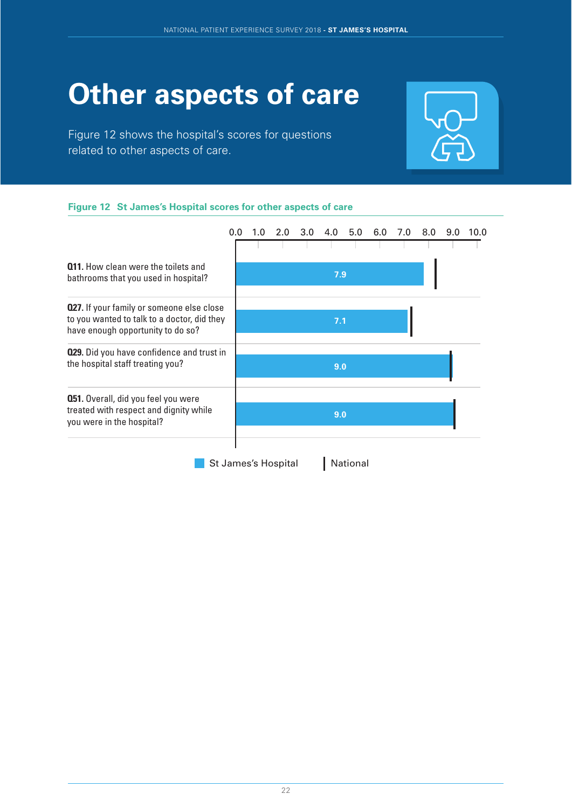# **Other aspects of care**

Figure 12 shows the hospital's scores for questions related to other aspects of care.



#### **Figure 12 St James's Hospital scores for other aspects of care**

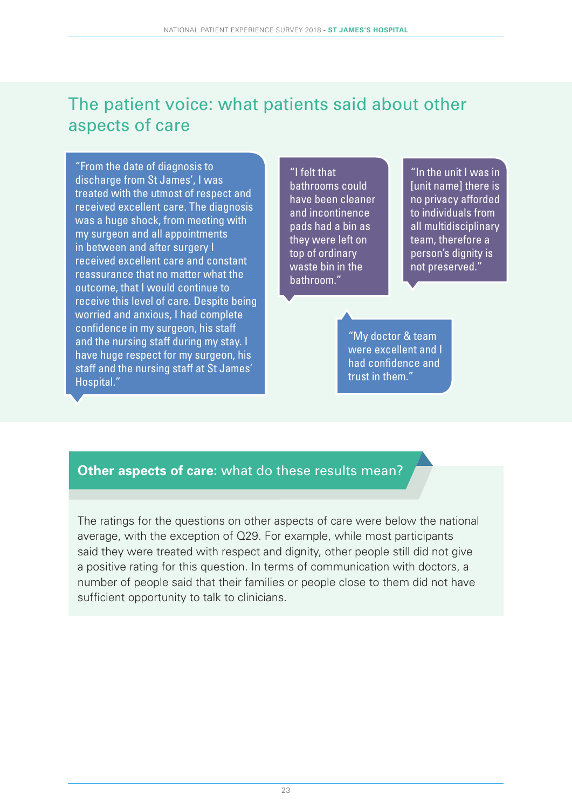### The patient voice: what patients said about other aspects of care

"From the date of diagnosis to discharge from St James', I was treated with the utmost of respect and received excellent care. The diagnosis was a huge shock, from meeting with my surgeon and all appointments in between and after surgery I received excellent care and constant reassurance that no matter what the outcome, that I would continue to receive this level of care. Despite being worried and anxious, I had complete confidence in my surgeon, his staff and the nursing staff during my stay. I have huge respect for my surgeon, his staff and the nursing staff at St James' Hospital."

"I felt that bathrooms could have been cleaner and incontinence pads had a bin as they were left on top of ordinary waste bin in the bathroom."

"In the unit I was in [unit name] there is no privacy afforded to individuals from all multidisciplinary team, therefore a person's dignity is not preserved."

"My doctor & team were excellent and I had confidence and trust in them."

### **Other aspects of care:** what do these results mean?

The ratings for the questions on other aspects of care were below the national average, with the exception of Q29. For example, while most participants said they were treated with respect and dignity, other people still did not give a positive rating for this question. In terms of communication with doctors, a number of people said that their families or people close to them did not have sufficient opportunity to talk to clinicians.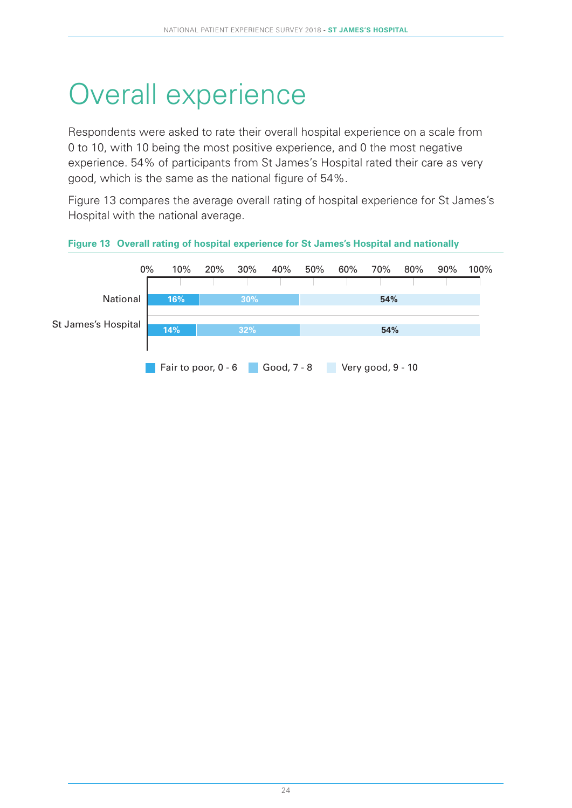# Overall experience

Respondents were asked to rate their overall hospital experience on a scale from 0 to 10, with 10 being the most positive experience, and 0 the most negative experience. 54% of participants from St James's Hospital rated their care as very good, which is the same as the national figure of 54%.

Figure 13 compares the average overall rating of hospital experience for St James's Hospital with the national average.



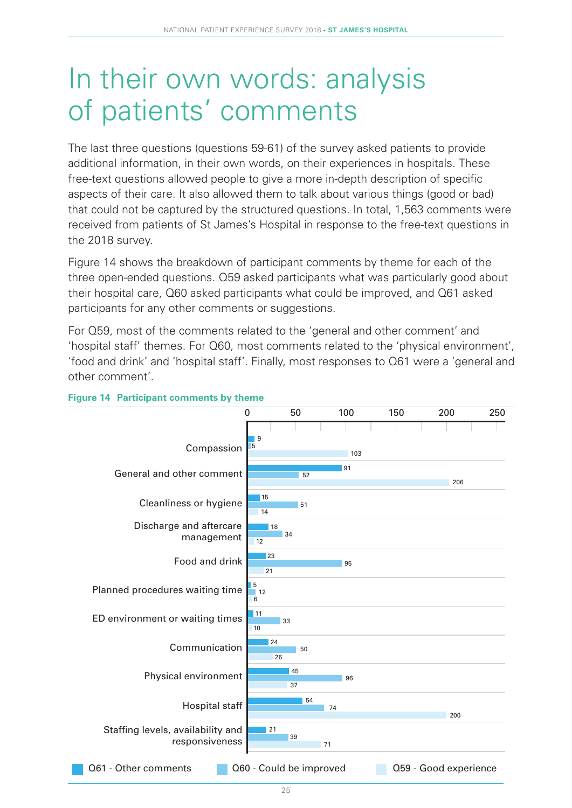### In their own words: analysis of patients' comments

The last three questions (questions 59-61) of the survey asked patients to provide additional information, in their own words, on their experiences in hospitals. These free-text questions allowed people to give a more in-depth description of specific aspects of their care. It also allowed them to talk about various things (good or bad) that could not be captured by the structured questions. In total, 1,563 comments were received from patients of St James's Hospital in response to the free-text questions in the 2018 survey.

Figure 14 shows the breakdown of participant comments by theme for each of the three open-ended questions. Q59 asked participants what was particularly good about their hospital care, Q60 asked participants what could be improved, and Q61 asked participants for any other comments or suggestions.

For Q59, most of the comments related to the 'general and other comment' and 'hospital staff' themes. For Q60, most comments related to the 'physical environment', 'food and drink' and 'hospital staff'. Finally, most responses to Q61 were a 'general and other comment'.



#### **Figure 14 Participant comments by theme**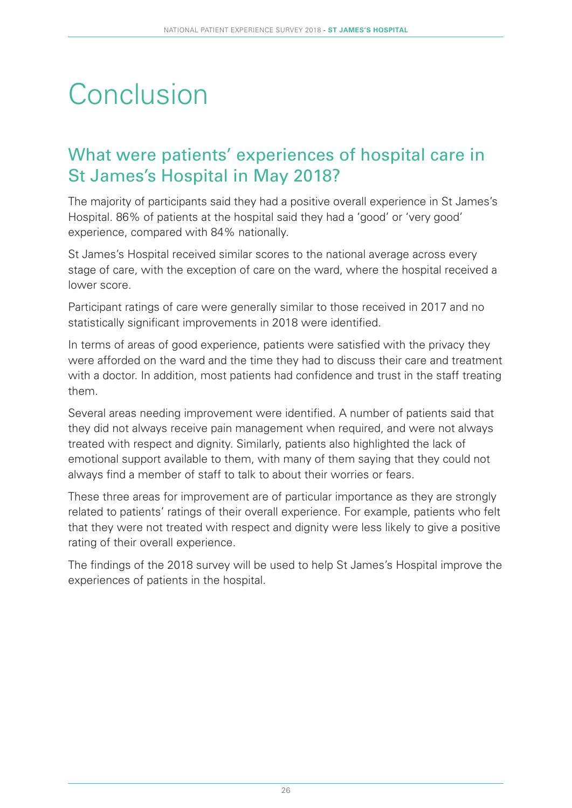# **Conclusion**

### What were patients' experiences of hospital care in St James's Hospital in May 2018?

The majority of participants said they had a positive overall experience in St James's Hospital. 86% of patients at the hospital said they had a 'good' or 'very good' experience, compared with 84% nationally.

St James's Hospital received similar scores to the national average across every stage of care, with the exception of care on the ward, where the hospital received a lower score.

Participant ratings of care were generally similar to those received in 2017 and no statistically significant improvements in 2018 were identified.

In terms of areas of good experience, patients were satisfied with the privacy they were afforded on the ward and the time they had to discuss their care and treatment with a doctor. In addition, most patients had confidence and trust in the staff treating them.

Several areas needing improvement were identified. A number of patients said that they did not always receive pain management when required, and were not always treated with respect and dignity. Similarly, patients also highlighted the lack of emotional support available to them, with many of them saying that they could not always find a member of staff to talk to about their worries or fears.

These three areas for improvement are of particular importance as they are strongly related to patients' ratings of their overall experience. For example, patients who felt that they were not treated with respect and dignity were less likely to give a positive rating of their overall experience.

The findings of the 2018 survey will be used to help St James's Hospital improve the experiences of patients in the hospital.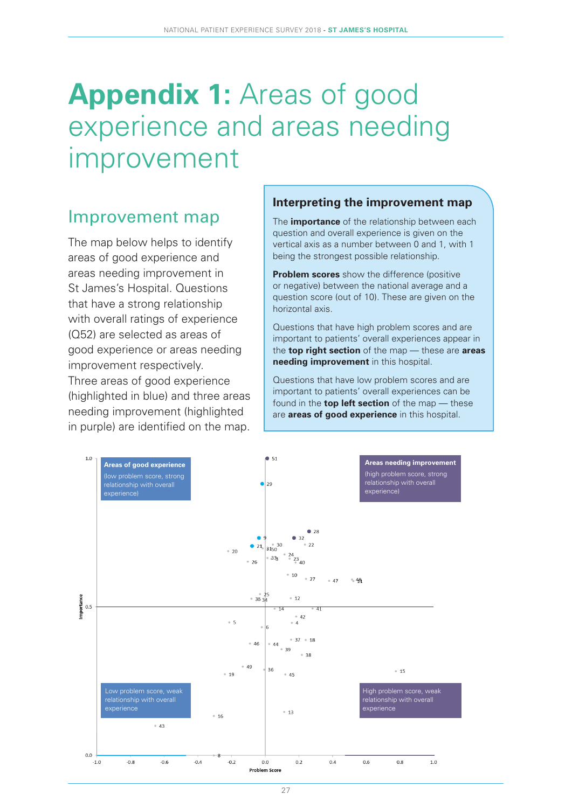# **Appendix 1:** Areas of good experience and areas needing improvement

### Improvement map

The map below helps to identify areas of good experience and areas needing improvement in St James's Hospital. Questions that have a strong relationship with overall ratings of experience (Q52) are selected as areas of good experience or areas needing improvement respectively. Three areas of good experience (highlighted in blue) and three areas needing improvement (highlighted in purple) are identified on the map.

#### **Interpreting the improvement map**

The **importance** of the relationship between each question and overall experience is given on the vertical axis as a number between 0 and 1, with 1 being the strongest possible relationship.

**Problem scores** show the difference (positive or negative) between the national average and a question score (out of 10). These are given on the horizontal axis.

Questions that have high problem scores and are important to patients' overall experiences appear in the **top right section** of the map — these are **areas needing improvement** in this hospital.

Questions that have low problem scores and are important to patients' overall experiences can be found in the **top left section** of the map — these are **areas of good experience** in this hospital.